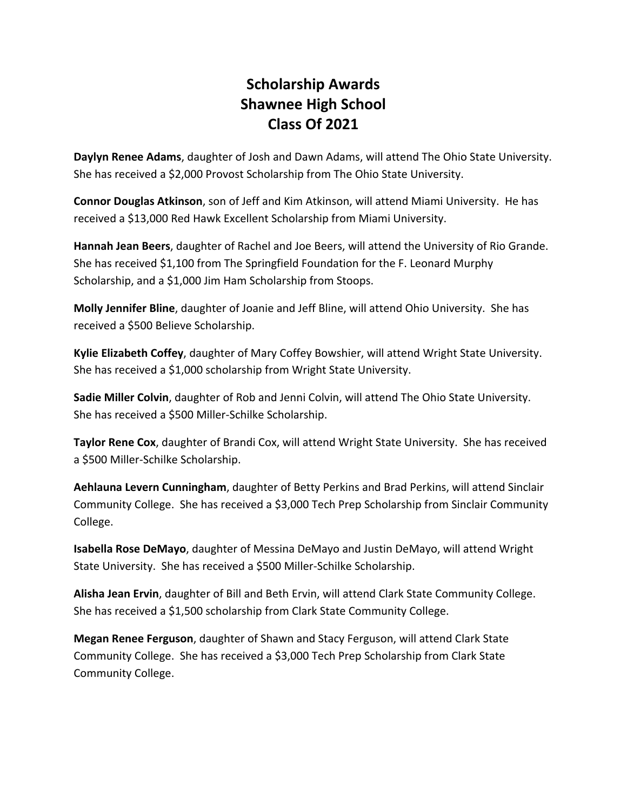## **Scholarship Awards Shawnee High School Class Of 2021**

**Daylyn Renee Adams**, daughter of Josh and Dawn Adams, will attend The Ohio State University. She has received a \$2,000 Provost Scholarship from The Ohio State University.

**Connor Douglas Atkinson**, son of Jeff and Kim Atkinson, will attend Miami University. He has received a \$13,000 Red Hawk Excellent Scholarship from Miami University.

**Hannah Jean Beers**, daughter of Rachel and Joe Beers, will attend the University of Rio Grande. She has received \$1,100 from The Springfield Foundation for the F. Leonard Murphy Scholarship, and a \$1,000 Jim Ham Scholarship from Stoops.

**Molly Jennifer Bline**, daughter of Joanie and Jeff Bline, will attend Ohio University. She has received a \$500 Believe Scholarship.

**Kylie Elizabeth Coffey**, daughter of Mary Coffey Bowshier, will attend Wright State University. She has received a \$1,000 scholarship from Wright State University.

**Sadie Miller Colvin**, daughter of Rob and Jenni Colvin, will attend The Ohio State University. She has received a \$500 Miller-Schilke Scholarship.

**Taylor Rene Cox**, daughter of Brandi Cox, will attend Wright State University. She has received a \$500 Miller-Schilke Scholarship.

**Aehlauna Levern Cunningham**, daughter of Betty Perkins and Brad Perkins, will attend Sinclair Community College. She has received a \$3,000 Tech Prep Scholarship from Sinclair Community College.

**Isabella Rose DeMayo**, daughter of Messina DeMayo and Justin DeMayo, will attend Wright State University. She has received a \$500 Miller-Schilke Scholarship.

**Alisha Jean Ervin**, daughter of Bill and Beth Ervin, will attend Clark State Community College. She has received a \$1,500 scholarship from Clark State Community College.

**Megan Renee Ferguson**, daughter of Shawn and Stacy Ferguson, will attend Clark State Community College. She has received a \$3,000 Tech Prep Scholarship from Clark State Community College.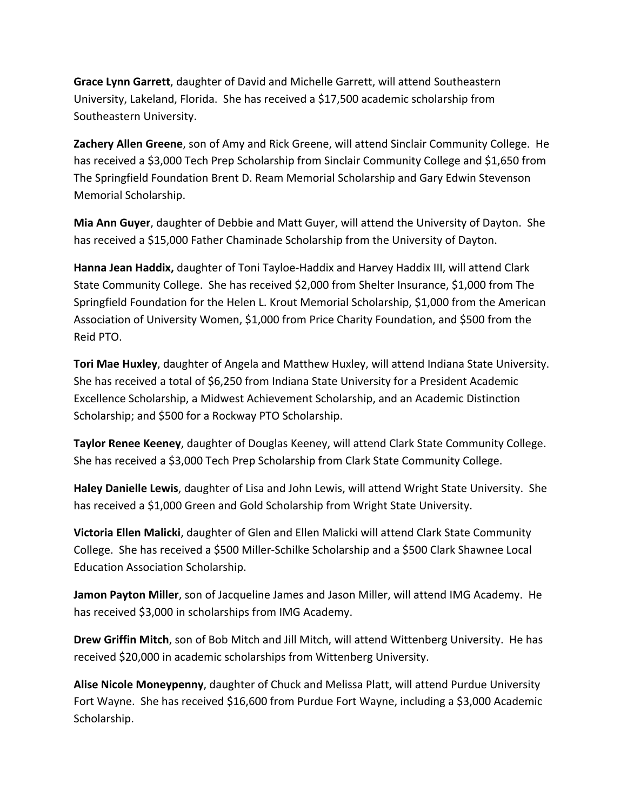**Grace Lynn Garrett**, daughter of David and Michelle Garrett, will attend Southeastern University, Lakeland, Florida. She has received a \$17,500 academic scholarship from Southeastern University.

**Zachery Allen Greene**, son of Amy and Rick Greene, will attend Sinclair Community College. He has received a \$3,000 Tech Prep Scholarship from Sinclair Community College and \$1,650 from The Springfield Foundation Brent D. Ream Memorial Scholarship and Gary Edwin Stevenson Memorial Scholarship.

**Mia Ann Guyer**, daughter of Debbie and Matt Guyer, will attend the University of Dayton. She has received a \$15,000 Father Chaminade Scholarship from the University of Dayton.

**Hanna Jean Haddix,** daughter of Toni Tayloe-Haddix and Harvey Haddix III, will attend Clark State Community College. She has received \$2,000 from Shelter Insurance, \$1,000 from The Springfield Foundation for the Helen L. Krout Memorial Scholarship, \$1,000 from the American Association of University Women, \$1,000 from Price Charity Foundation, and \$500 from the Reid PTO.

**Tori Mae Huxley**, daughter of Angela and Matthew Huxley, will attend Indiana State University. She has received a total of \$6,250 from Indiana State University for a President Academic Excellence Scholarship, a Midwest Achievement Scholarship, and an Academic Distinction Scholarship; and \$500 for a Rockway PTO Scholarship.

**Taylor Renee Keeney**, daughter of Douglas Keeney, will attend Clark State Community College. She has received a \$3,000 Tech Prep Scholarship from Clark State Community College.

**Haley Danielle Lewis**, daughter of Lisa and John Lewis, will attend Wright State University. She has received a \$1,000 Green and Gold Scholarship from Wright State University.

**Victoria Ellen Malicki**, daughter of Glen and Ellen Malicki will attend Clark State Community College. She has received a \$500 Miller-Schilke Scholarship and a \$500 Clark Shawnee Local Education Association Scholarship.

**Jamon Payton Miller**, son of Jacqueline James and Jason Miller, will attend IMG Academy. He has received \$3,000 in scholarships from IMG Academy.

**Drew Griffin Mitch**, son of Bob Mitch and Jill Mitch, will attend Wittenberg University. He has received \$20,000 in academic scholarships from Wittenberg University.

**Alise Nicole Moneypenny**, daughter of Chuck and Melissa Platt, will attend Purdue University Fort Wayne. She has received \$16,600 from Purdue Fort Wayne, including a \$3,000 Academic Scholarship.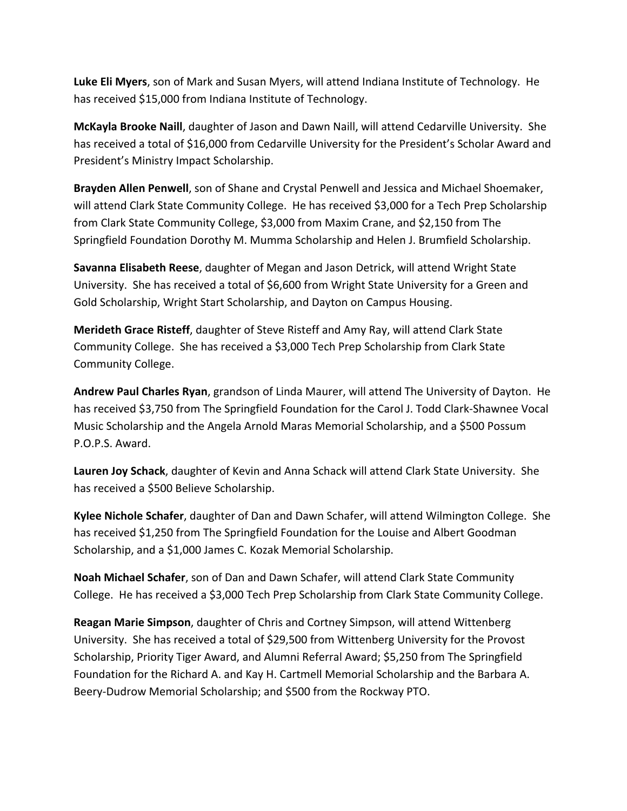**Luke Eli Myers**, son of Mark and Susan Myers, will attend Indiana Institute of Technology. He has received \$15,000 from Indiana Institute of Technology.

**McKayla Brooke Naill**, daughter of Jason and Dawn Naill, will attend Cedarville University. She has received a total of \$16,000 from Cedarville University for the President's Scholar Award and President's Ministry Impact Scholarship.

**Brayden Allen Penwell**, son of Shane and Crystal Penwell and Jessica and Michael Shoemaker, will attend Clark State Community College. He has received \$3,000 for a Tech Prep Scholarship from Clark State Community College, \$3,000 from Maxim Crane, and \$2,150 from The Springfield Foundation Dorothy M. Mumma Scholarship and Helen J. Brumfield Scholarship.

**Savanna Elisabeth Reese**, daughter of Megan and Jason Detrick, will attend Wright State University. She has received a total of \$6,600 from Wright State University for a Green and Gold Scholarship, Wright Start Scholarship, and Dayton on Campus Housing.

**Merideth Grace Risteff**, daughter of Steve Risteff and Amy Ray, will attend Clark State Community College. She has received a \$3,000 Tech Prep Scholarship from Clark State Community College.

**Andrew Paul Charles Ryan**, grandson of Linda Maurer, will attend The University of Dayton. He has received \$3,750 from The Springfield Foundation for the Carol J. Todd Clark-Shawnee Vocal Music Scholarship and the Angela Arnold Maras Memorial Scholarship, and a \$500 Possum P.O.P.S. Award.

**Lauren Joy Schack**, daughter of Kevin and Anna Schack will attend Clark State University. She has received a \$500 Believe Scholarship.

**Kylee Nichole Schafer**, daughter of Dan and Dawn Schafer, will attend Wilmington College. She has received \$1,250 from The Springfield Foundation for the Louise and Albert Goodman Scholarship, and a \$1,000 James C. Kozak Memorial Scholarship.

**Noah Michael Schafer**, son of Dan and Dawn Schafer, will attend Clark State Community College. He has received a \$3,000 Tech Prep Scholarship from Clark State Community College.

**Reagan Marie Simpson**, daughter of Chris and Cortney Simpson, will attend Wittenberg University. She has received a total of \$29,500 from Wittenberg University for the Provost Scholarship, Priority Tiger Award, and Alumni Referral Award; \$5,250 from The Springfield Foundation for the Richard A. and Kay H. Cartmell Memorial Scholarship and the Barbara A. Beery-Dudrow Memorial Scholarship; and \$500 from the Rockway PTO.